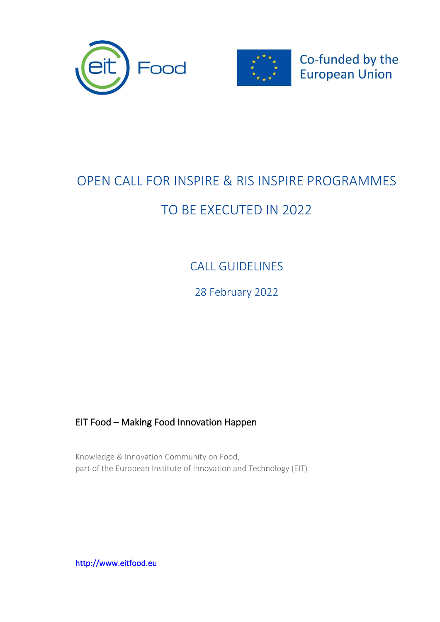



Co-funded by the **European Union** 

## OPEN CALL FOR INSPIRE & RIS INSPIRE PROGRAMMES TO BE EXECUTED IN 2022

CALL GUIDELINES

28 February 2022

### EIT Food – Making Food Innovation Happen

Knowledge & Innovation Community on Food, part of the European Institute of Innovation and Technology (EIT)

[http://www.eitfood.eu](http://www.eitfood.eu/)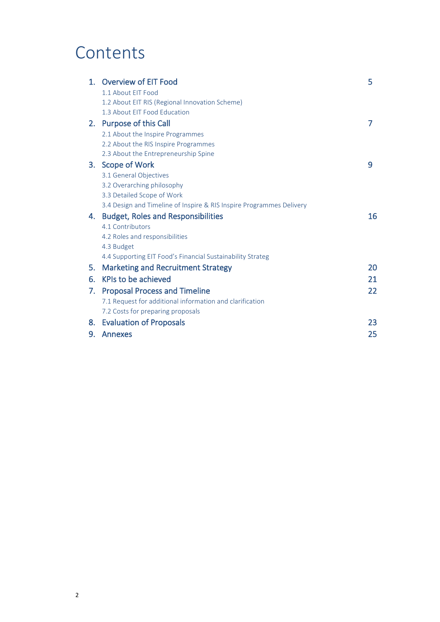## **Contents**

| $1_{-}$ | <b>Overview of EIT Food</b>                                          | 5  |
|---------|----------------------------------------------------------------------|----|
|         | 1.1 About EIT Food                                                   |    |
|         | 1.2 About EIT RIS (Regional Innovation Scheme)                       |    |
|         | 1.3 About EIT Food Education                                         |    |
|         | 2. Purpose of this Call                                              | 7  |
|         | 2.1 About the Inspire Programmes                                     |    |
|         | 2.2 About the RIS Inspire Programmes                                 |    |
|         | 2.3 About the Entrepreneurship Spine                                 |    |
| З.      | <b>Scope of Work</b>                                                 | 9  |
|         | 3.1 General Objectives                                               |    |
|         | 3.2 Overarching philosophy                                           |    |
|         | 3.3 Detailed Scope of Work                                           |    |
|         | 3.4 Design and Timeline of Inspire & RIS Inspire Programmes Delivery |    |
| 4.      | <b>Budget, Roles and Responsibilities</b>                            | 16 |
|         | 4.1 Contributors                                                     |    |
|         | 4.2 Roles and responsibilities                                       |    |
|         | 4.3 Budget                                                           |    |
|         | 4.4 Supporting EIT Food's Financial Sustainability Strateg           |    |
| 5.      | <b>Marketing and Recruitment Strategy</b>                            | 20 |
| 6.      | KPIs to be achieved                                                  | 21 |
| 7.      | <b>Proposal Process and Timeline</b>                                 | 22 |
|         | 7.1 Request for additional information and clarification             |    |
|         | 7.2 Costs for preparing proposals                                    |    |
| 8.      | <b>Evaluation of Proposals</b>                                       | 23 |
| 9.      | Annexes                                                              | 25 |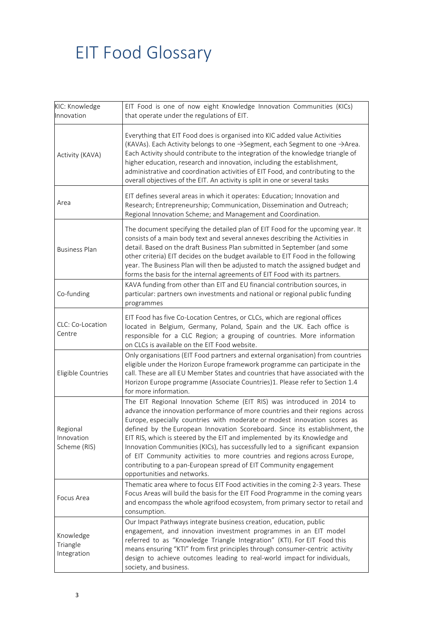# EIT Food Glossary

| KIC: Knowledge<br>Innovation           | EIT Food is one of now eight Knowledge Innovation Communities (KICs)<br>that operate under the regulations of EIT.                                                                                                                                                                                                                                                                                                                                                                                                                                                                                                                                                 |
|----------------------------------------|--------------------------------------------------------------------------------------------------------------------------------------------------------------------------------------------------------------------------------------------------------------------------------------------------------------------------------------------------------------------------------------------------------------------------------------------------------------------------------------------------------------------------------------------------------------------------------------------------------------------------------------------------------------------|
| Activity (KAVA)                        | Everything that EIT Food does is organised into KIC added value Activities<br>(KAVAs). Each Activity belongs to one →Segment, each Segment to one →Area.<br>Each Activity should contribute to the integration of the knowledge triangle of<br>higher education, research and innovation, including the establishment,<br>administrative and coordination activities of EIT Food, and contributing to the<br>overall objectives of the EIT. An activity is split in one or several tasks                                                                                                                                                                           |
| Area                                   | EIT defines several areas in which it operates: Education; Innovation and<br>Research; Entrepreneurship; Communication, Dissemination and Outreach;<br>Regional Innovation Scheme; and Management and Coordination.                                                                                                                                                                                                                                                                                                                                                                                                                                                |
| <b>Business Plan</b>                   | The document specifying the detailed plan of EIT Food for the upcoming year. It<br>consists of a main body text and several annexes describing the Activities in<br>detail. Based on the draft Business Plan submitted in September (and some<br>other criteria) EIT decides on the budget available to EIT Food in the following<br>year. The Business Plan will then be adjusted to match the assigned budget and<br>forms the basis for the internal agreements of EIT Food with its partners.                                                                                                                                                                  |
| Co-funding                             | KAVA funding from other than EIT and EU financial contribution sources, in<br>particular: partners own investments and national or regional public funding<br>programmes                                                                                                                                                                                                                                                                                                                                                                                                                                                                                           |
| CLC: Co-Location<br>Centre             | EIT Food has five Co-Location Centres, or CLCs, which are regional offices<br>located in Belgium, Germany, Poland, Spain and the UK. Each office is<br>responsible for a CLC Region; a grouping of countries. More information<br>on CLCs is available on the EIT Food website.                                                                                                                                                                                                                                                                                                                                                                                    |
| Eligible Countries                     | Only organisations (EIT Food partners and external organisation) from countries<br>eligible under the Horizon Europe framework programme can participate in the<br>call. These are all EU Member States and countries that have associated with the<br>Horizon Europe programme (Associate Countries)1. Please refer to Section 1.4<br>for more information.                                                                                                                                                                                                                                                                                                       |
| Regional<br>Innovation<br>Scheme (RIS) | The EIT Regional Innovation Scheme (EIT RIS) was introduced in 2014 to<br>advance the innovation performance of more countries and their regions across<br>Europe, especially countries with moderate or modest innovation scores as<br>defined by the European Innovation Scoreboard. Since its establishment, the<br>EIT RIS, which is steered by the EIT and implemented by its Knowledge and<br>Innovation Communities (KICs), has successfully led to a significant expansion<br>of EIT Community activities to more countries and regions across Europe,<br>contributing to a pan-European spread of EIT Community engagement<br>opportunities and networks. |
| Focus Area                             | Thematic area where to focus EIT Food activities in the coming 2-3 years. These<br>Focus Areas will build the basis for the EIT Food Programme in the coming years<br>and encompass the whole agrifood ecosystem, from primary sector to retail and<br>consumption.                                                                                                                                                                                                                                                                                                                                                                                                |
| Knowledge<br>Triangle<br>Integration   | Our Impact Pathways integrate business creation, education, public<br>engagement, and innovation investment programmes in an EIT model<br>referred to as "Knowledge Triangle Integration" (KTI). For EIT Food this<br>means ensuring "KTI" from first principles through consumer-centric activity<br>design to achieve outcomes leading to real-world impact for individuals,<br>society, and business.                                                                                                                                                                                                                                                           |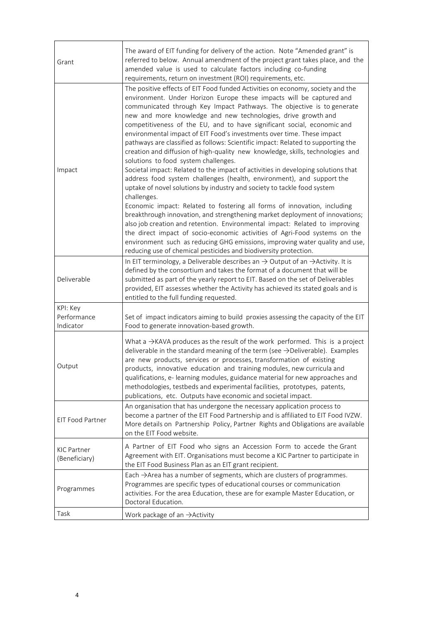| Grant                                | The award of EIT funding for delivery of the action. Note "Amended grant" is<br>referred to below. Annual amendment of the project grant takes place, and the<br>amended value is used to calculate factors including co-funding<br>requirements, return on investment (ROI) requirements, etc.                                                                                                                                                                                                                                                                                                                                                                                                                                                                                                                                                                                                                                                                                                                                                                                                                                                                                                                                                                                                                                                                                                           |
|--------------------------------------|-----------------------------------------------------------------------------------------------------------------------------------------------------------------------------------------------------------------------------------------------------------------------------------------------------------------------------------------------------------------------------------------------------------------------------------------------------------------------------------------------------------------------------------------------------------------------------------------------------------------------------------------------------------------------------------------------------------------------------------------------------------------------------------------------------------------------------------------------------------------------------------------------------------------------------------------------------------------------------------------------------------------------------------------------------------------------------------------------------------------------------------------------------------------------------------------------------------------------------------------------------------------------------------------------------------------------------------------------------------------------------------------------------------|
| Impact                               | The positive effects of EIT Food funded Activities on economy, society and the<br>environment. Under Horizon Europe these impacts will be captured and<br>communicated through Key Impact Pathways. The objective is to generate<br>new and more knowledge and new technologies, drive growth and<br>competitiveness of the EU, and to have significant social, economic and<br>environmental impact of EIT Food's investments over time. These impact<br>pathways are classified as follows: Scientific impact: Related to supporting the<br>creation and diffusion of high-quality new knowledge, skills, technologies and<br>solutions to food system challenges.<br>Societal impact: Related to the impact of activities in developing solutions that<br>address food system challenges (health, environment), and support the<br>uptake of novel solutions by industry and society to tackle food system<br>challenges.<br>Economic impact: Related to fostering all forms of innovation, including<br>breakthrough innovation, and strengthening market deployment of innovations;<br>also job creation and retention. Environmental impact: Related to improving<br>the direct impact of socio-economic activities of Agri-Food systems on the<br>environment such as reducing GHG emissions, improving water quality and use,<br>reducing use of chemical pesticides and biodiversity protection. |
| Deliverable                          | In EIT terminology, a Deliverable describes an $\rightarrow$ Output of an $\rightarrow$ Activity. It is<br>defined by the consortium and takes the format of a document that will be<br>submitted as part of the yearly report to EIT. Based on the set of Deliverables<br>provided, EIT assesses whether the Activity has achieved its stated goals and is<br>entitled to the full funding requested.                                                                                                                                                                                                                                                                                                                                                                                                                                                                                                                                                                                                                                                                                                                                                                                                                                                                                                                                                                                                    |
| KPI: Key<br>Performance<br>Indicator | Set of impact indicators aiming to build proxies assessing the capacity of the EIT<br>Food to generate innovation-based growth.                                                                                                                                                                                                                                                                                                                                                                                                                                                                                                                                                                                                                                                                                                                                                                                                                                                                                                                                                                                                                                                                                                                                                                                                                                                                           |
| Output                               | What a $\rightarrow$ KAVA produces as the result of the work performed. This is a project<br>deliverable in the standard meaning of the term (see $\rightarrow$ Deliverable). Examples<br>are new products, services or processes, transformation of existing<br>products, innovative education and training modules, new curricula and<br>qualifications, e- learning modules, guidance material for new approaches and<br>methodologies, testbeds and experimental facilities, prototypes, patents,<br>publications, etc. Outputs have economic and societal impact.                                                                                                                                                                                                                                                                                                                                                                                                                                                                                                                                                                                                                                                                                                                                                                                                                                    |
| EIT Food Partner                     | An organisation that has undergone the necessary application process to<br>become a partner of the EIT Food Partnership and is affiliated to EIT Food IVZW.<br>More details on Partnership Policy, Partner Rights and Obligations are available<br>on the EIT Food website.                                                                                                                                                                                                                                                                                                                                                                                                                                                                                                                                                                                                                                                                                                                                                                                                                                                                                                                                                                                                                                                                                                                               |
| <b>KIC Partner</b><br>(Beneficiary)  | A Partner of EIT Food who signs an Accession Form to accede the Grant<br>Agreement with EIT. Organisations must become a KIC Partner to participate in<br>the EIT Food Business Plan as an EIT grant recipient.                                                                                                                                                                                                                                                                                                                                                                                                                                                                                                                                                                                                                                                                                                                                                                                                                                                                                                                                                                                                                                                                                                                                                                                           |
| Programmes                           | Each $\rightarrow$ Area has a number of segments, which are clusters of programmes.<br>Programmes are specific types of educational courses or communication<br>activities. For the area Education, these are for example Master Education, or<br>Doctoral Education.                                                                                                                                                                                                                                                                                                                                                                                                                                                                                                                                                                                                                                                                                                                                                                                                                                                                                                                                                                                                                                                                                                                                     |
| Task                                 | Work package of an $\rightarrow$ Activity                                                                                                                                                                                                                                                                                                                                                                                                                                                                                                                                                                                                                                                                                                                                                                                                                                                                                                                                                                                                                                                                                                                                                                                                                                                                                                                                                                 |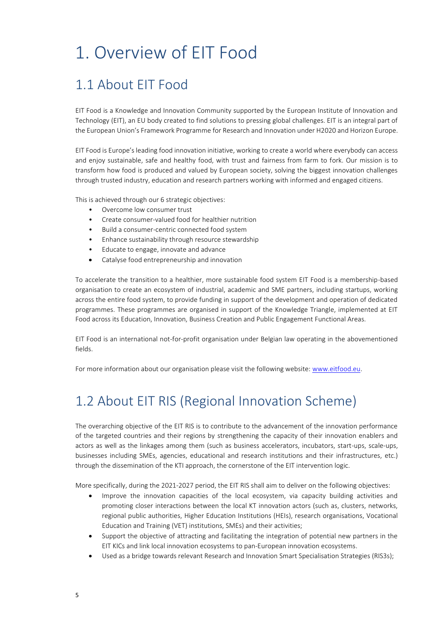## 1. Overview of EIT Food

### 1.1 About EIT Food

EIT Food is a Knowledge and Innovation Community supported by the European Institute of Innovation and Technology (EIT), an EU body created to find solutions to pressing global challenges. EIT is an integral part of the European Union's Framework Programme for Research and Innovation under H2020 and Horizon Europe.

EIT Food is Europe's leading food innovation initiative, working to create a world where everybody can access and enjoy sustainable, safe and healthy food, with trust and fairness from farm to fork. Our mission is to transform how food is produced and valued by European society, solving the biggest innovation challenges through trusted industry, education and research partners working with informed and engaged citizens.

This is achieved through our 6 strategic objectives:

- Overcome low consumer trust
- Create consumer-valued food for healthier nutrition
- Build a consumer-centric connected food system
- Enhance sustainability through resource stewardship
- Educate to engage, innovate and advance
- Catalyse food entrepreneurship and innovation

To accelerate the transition to a healthier, more sustainable food system EIT Food is a membership-based organisation to create an ecosystem of industrial, academic and SME partners, including startups, working across the entire food system, to provide funding in support of the development and operation of dedicated programmes. These programmes are organised in support of the Knowledge Triangle, implemented at EIT Food across its Education, Innovation, Business Creation and Public Engagement Functional Areas.

EIT Food is an international not-for-profit organisation under Belgian law operating in the abovementioned fields.

For more information about our organisation please visit the following website: [www.eitfood.eu.](http://www.eitfood.eu/)

## 1.2 About EIT RIS (Regional Innovation Scheme)

The overarching objective of the EIT RIS is to contribute to the advancement of the innovation performance of the targeted countries and their regions by strengthening the capacity of their innovation enablers and actors as well as the linkages among them (such as business accelerators, incubators, start-ups, scale-ups, businesses including SMEs, agencies, educational and research institutions and their infrastructures, etc.) through the dissemination of the KTI approach, the cornerstone of the EIT intervention logic.

More specifically, during the 2021-2027 period, the EIT RIS shall aim to deliver on the following objectives:

- Improve the innovation capacities of the local ecosystem, via capacity building activities and promoting closer interactions between the local KT innovation actors (such as, clusters, networks, regional public authorities, Higher Education Institutions (HEIs), research organisations, Vocational Education and Training (VET) institutions, SMEs) and their activities;
- Support the objective of attracting and facilitating the integration of potential new partners in the EIT KICs and link local innovation ecosystems to pan-European innovation ecosystems.
- Used as a bridge towards relevant Research and Innovation Smart Specialisation Strategies (RIS3s);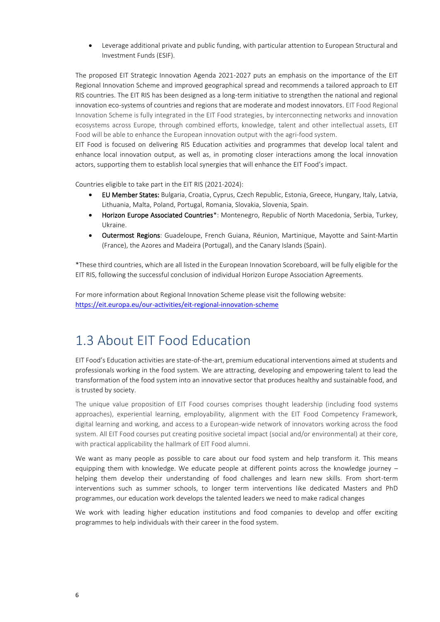• Leverage additional private and public funding, with particular attention to European Structural and Investment Funds (ESIF).

The proposed EIT Strategic Innovation Agenda 2021-2027 puts an emphasis on the importance of the EIT Regional Innovation Scheme and improved geographical spread and recommends a tailored approach to EIT RIS countries. The EIT RIS has been designed as a long-term initiative to strengthen the national and regional innovation eco-systems of countries and regions that are moderate and modest innovators. EIT Food Regional Innovation Scheme is fully integrated in the EIT Food strategies, by interconnecting networks and innovation ecosystems across Europe, through combined efforts, knowledge, talent and other intellectual assets, EIT Food will be able to enhance the European innovation output with the agri-food system.

EIT Food is focused on delivering RIS Education activities and programmes that develop local talent and enhance local innovation output, as well as, in promoting closer interactions among the local innovation actors, supporting them to establish local synergies that will enhance the EIT Food's impact.

Countries eligible to take part in the EIT RIS (2021-2024):

- EU Member States: Bulgaria, Croatia, Cyprus, Czech Republic, Estonia, Greece, Hungary, Italy, Latvia, Lithuania, Malta, Poland, Portugal, Romania, Slovakia, Slovenia, Spain.
- Horizon Europe Associated Countries\*: Montenegro, Republic of North Macedonia, Serbia, Turkey, Ukraine.
- Outermost Regions: Guadeloupe, French Guiana, Réunion, Martinique, Mayotte and Saint-Martin (France), the Azores and Madeira (Portugal), and the Canary Islands (Spain).

\*These third countries, which are all listed in the European Innovation Scoreboard, will be fully eligible for the EIT RIS, following the successful conclusion of individual Horizon Europe Association Agreements.

For more information about Regional Innovation Scheme please visit the following website: <https://eit.europa.eu/our-activities/eit-regional-innovation-scheme>

### 1.3 About EIT Food Education

EIT Food's Education activities are state-of-the-art, premium educational interventions aimed at students and professionals working in the food system. We are attracting, developing and empowering talent to lead the transformation of the food system into an innovative sector that produces healthy and sustainable food, and is trusted by society.

The unique value proposition of EIT Food courses comprises thought leadership (including food systems approaches), experiential learning, employability, alignment with the EIT Food Competency Framework, digital learning and working, and access to a European-wide network of innovators working across the food system. All EIT Food courses put creating positive societal impact (social and/or environmental) at their core, with practical applicability the hallmark of EIT Food alumni.

We want as many people as possible to care about our food system and help transform it. This means equipping them with knowledge. We educate people at different points across the knowledge journey – helping them develop their understanding of food challenges and learn new skills. From short-term interventions such as summer schools, to longer term interventions like dedicated Masters and PhD programmes, our education work develops the talented leaders we need to make radical changes

We work with leading higher education institutions and food companies to develop and offer exciting programmes to help individuals with their career in the food system.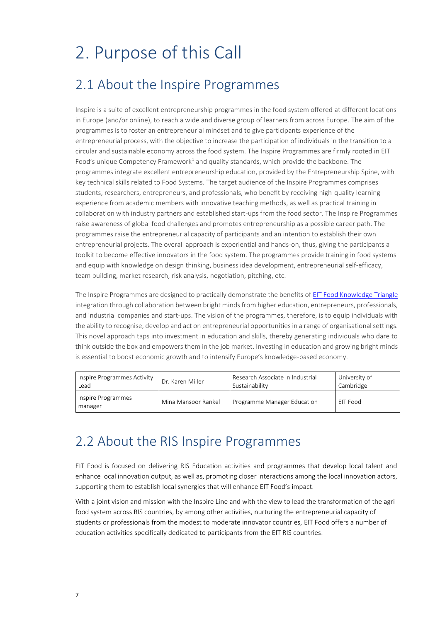# 2. Purpose of this Call

### 2.1 About the Inspire Programmes

Inspire is a suite of excellent entrepreneurship programmes in the food system offered at different locations in Europe (and/or online), to reach a wide and diverse group of learners from across Europe. The aim of the programmes is to foster an entrepreneurial mindset and to give participants experience of the entrepreneurial process, with the objective to increase the participation of individuals in the transition to a circular and sustainable economy across the food system. The Inspire Programmes are firmly rooted in EIT Food's unique Competency Framework<sup>1</sup> and quality standards, which provide the backbone. The programmes integrate excellent entrepreneurship education, provided by the Entrepreneurship Spine, with key technical skills related to Food Systems. The target audience of the Inspire Programmes comprises students, researchers, entrepreneurs, and professionals, who benefit by receiving high-quality learning experience from academic members with innovative teaching methods, as well as practical training in collaboration with industry partners and established start-ups from the food sector. The Inspire Programmes raise awareness of global food challenges and promotes entrepreneurship as a possible career path. The programmes raise the entrepreneurial capacity of participants and an intention to establish their own entrepreneurial projects. The overall approach is experiential and hands-on, thus, giving the participants a toolkit to become effective innovators in the food system. The programmes provide training in food systems and equip with knowledge on design thinking, business idea development, entrepreneurial self-efficacy, team building, market research, risk analysis, negotiation, pitching, etc.

The Inspire Programmes are designed to practically demonstrate the benefits o[f EIT Food Knowledge Triangle](https://eit.europa.eu/library/catalysing-innovation-knowledge-triangle-practices-eit-knowledge-and-innovation-communities) integration through collaboration between bright minds from higher education, entrepreneurs, professionals, and industrial companies and start-ups. The vision of the programmes, therefore, is to equip individuals with the ability to recognise, develop and act on entrepreneurial opportunities in a range of organisational settings. This novel approach taps into investment in education and skills, thereby generating individuals who dare to think outside the box and empowers them in the job market. Investing in education and growing bright minds is essential to boost economic growth and to intensify Europe's knowledge-based economy.

| Inspire Programmes Activity   | Dr. Karen Miller    | Research Associate in Industrial | University of |
|-------------------------------|---------------------|----------------------------------|---------------|
| Lead                          |                     | Sustainability                   | Cambridge     |
| Inspire Programmes<br>manager | Mina Mansoor Rankel | Programme Manager Education      | EIT Food      |

### 2.2 About the RIS Inspire Programmes

EIT Food is focused on delivering RIS Education activities and programmes that develop local talent and enhance local innovation output, as well as, promoting closer interactions among the local innovation actors, supporting them to establish local synergies that will enhance EIT Food's impact.

With a joint vision and mission with the Inspire Line and with the view to lead the transformation of the agrifood system across RIS countries, by among other activities, nurturing the entrepreneurial capacity of students or professionals from the modest to moderate innovator countries, EIT Food offers a number of education activities specifically dedicated to participants from the EIT RIS countries.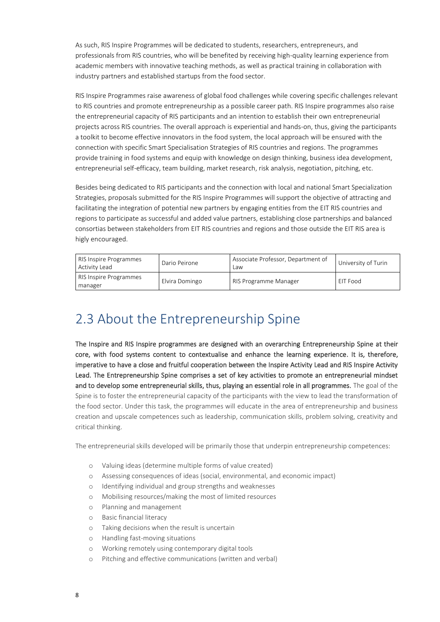As such, RIS Inspire Programmes will be dedicated to students, researchers, entrepreneurs, and professionals from RIS countries, who will be benefited by receiving high-quality learning experience from academic members with innovative teaching methods, as well as practical training in collaboration with industry partners and established startups from the food sector.

RIS Inspire Programmes raise awareness of global food challenges while covering specific challenges relevant to RIS countries and promote entrepreneurship as a possible career path. RIS Inspire programmes also raise the entrepreneurial capacity of RIS participants and an intention to establish their own entrepreneurial projects across RIS countries. The overall approach is experiential and hands-on, thus, giving the participants a toolkit to become effective innovators in the food system, the local approach will be ensured with the connection with specific Smart Specialisation Strategies of RIS countries and regions. The programmes provide training in food systems and equip with knowledge on design thinking, business idea development, entrepreneurial self-efficacy, team building, market research, risk analysis, negotiation, pitching, etc.

Besides being dedicated to RIS participants and the connection with local and national Smart Specialization Strategies, proposals submitted for the RIS Inspire Programmes will support the objective of attracting and facilitating the integration of potential new partners by engaging entities from the EIT RIS countries and regions to participate as successful and added value partners, establishing close partnerships and balanced consortias between stakeholders from EIT RIS countries and regions and those outside the EIT RIS area is higly encouraged.

| RIS Inspire Programmes<br><b>Activity Lead</b> | Dario Peirone  | Associate Professor, Department of<br>Law | University of Turin |
|------------------------------------------------|----------------|-------------------------------------------|---------------------|
| RIS Inspire Programmes<br>manager              | Elvira Domingo | RIS Programme Manager                     | EIT Food            |

### 2.3 About the Entrepreneurship Spine

The Inspire and RIS Inspire programmes are designed with an overarching Entrepreneurship Spine at their core, with food systems content to contextualise and enhance the learning experience. It is, therefore, imperative to have a close and fruitful cooperation between the Inspire Activity Lead and RIS Inspire Activity Lead. The Entrepreneurship Spine comprises a set of key activities to promote an entrepreneurial mindset and to develop some entrepreneurial skills, thus, playing an essential role in all programmes. The goal of the Spine is to foster the entrepreneurial capacity of the participants with the view to lead the transformation of the food sector. Under this task, the programmes will educate in the area of entrepreneurship and business creation and upscale competences such as leadership, communication skills, problem solving, creativity and critical thinking.

The entrepreneurial skills developed will be primarily those that underpin entrepreneurship competences:

- o Valuing ideas (determine multiple forms of value created)
- o Assessing consequences of ideas (social, environmental, and economic impact)
- o Identifying individual and group strengths and weaknesses
- o Mobilising resources/making the most of limited resources
- o Planning and management
- o Basic financial literacy
- o Taking decisions when the result is uncertain
- o Handling fast-moving situations
- o Working remotely using contemporary digital tools
- o Pitching and effective communications (written and verbal)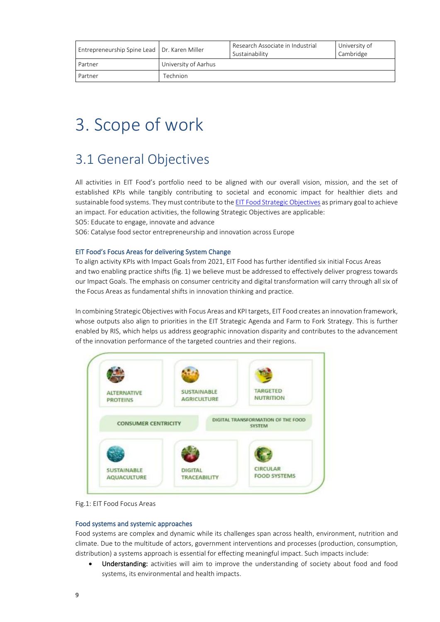| Entrepreneurship Spine Lead   Dr. Karen Miller |                      | Research Associate in Industrial<br>Sustainability | University of<br>Cambridge |
|------------------------------------------------|----------------------|----------------------------------------------------|----------------------------|
| Partner                                        | University of Aarhus |                                                    |                            |
| Partner                                        | <b>Technion</b>      |                                                    |                            |

## 3. Scope of work

### 3.1 General Objectives

All activities in EIT Food's portfolio need to be aligned with our overall vision, mission, and the set of established KPIs while tangibly contributing to societal and economic impact for healthier diets and sustainable food systems. They must contribute to the [EIT Food Strategic Objectives](https://www.eitfood.eu/media/documents/EIT_Food_Strategic_Agenda_2021-2027.pdf) as primary goal to achieve an impact. For education activities, the following Strategic Objectives are applicable:

SO5: Educate to engage, innovate and advance

SO6: Catalyse food sector entrepreneurship and innovation across Europe

#### EIT Food's Focus Areas for delivering System Change

To align activity KPIs with Impact Goals from 2021, EIT Food has further identified six initial Focus Areas and two enabling practice shifts (fig. 1) we believe must be addressed to effectively deliver progress towards our Impact Goals. The emphasis on consumer centricity and digital transformation will carry through all six of the Focus Areas as fundamental shifts in innovation thinking and practice.

In combining Strategic Objectives with Focus Areas and KPI targets, EIT Food creates an innovation framework, whose outputs also align to priorities in the EIT Strategic Agenda and Farm to Fork Strategy. This is further enabled by RIS, which helps us address geographic innovation disparity and contributes to the advancement of the innovation performance of the targeted countries and their regions.



Fig.1: EIT Food Focus Areas

#### Food systems and systemic approaches

Food systems are complex and dynamic while its challenges span across health, environment, nutrition and climate. Due to the multitude of actors, government interventions and processes (production, consumption, distribution) a systems approach is essential for effecting meaningful impact. Such impacts include:

Understanding: activities will aim to improve the understanding of society about food and food systems, its environmental and health impacts.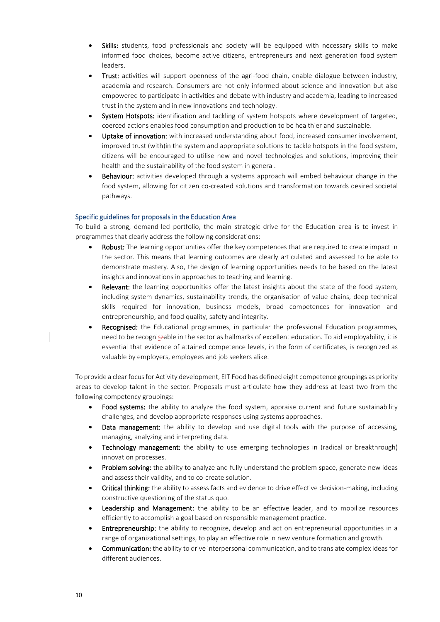- Skills: students, food professionals and society will be equipped with necessary skills to make informed food choices, become active citizens, entrepreneurs and next generation food system leaders.
- Trust: activities will support openness of the agri-food chain, enable dialogue between industry, academia and research. Consumers are not only informed about science and innovation but also empowered to participate in activities and debate with industry and academia, leading to increased trust in the system and in new innovations and technology.
- System Hotspots: identification and tackling of system hotspots where development of targeted, coerced actions enables food consumption and production to be healthier and sustainable.
- Uptake of innovation: with increased understanding about food, increased consumer involvement, improved trust (with)in the system and appropriate solutions to tackle hotspots in the food system, citizens will be encouraged to utilise new and novel technologies and solutions, improving their health and the sustainability of the food system in general.
- **Behaviour:** activities developed through a systems approach will embed behaviour change in the food system, allowing for citizen co-created solutions and transformation towards desired societal pathways.

#### Specific guidelines for proposals in the Education Area

To build a strong, demand-led portfolio, the main strategic drive for the Education area is to invest in programmes that clearly address the following considerations:

- Robust: The learning opportunities offer the key competences that are required to create impact in the sector. This means that learning outcomes are clearly articulated and assessed to be able to demonstrate mastery. Also, the design of learning opportunities needs to be based on the latest insights and innovations in approaches to teaching and learning.
- Relevant: the learning opportunities offer the latest insights about the state of the food system, including system dynamics, sustainability trends, the organisation of value chains, deep technical skills required for innovation, business models, broad competences for innovation and entrepreneurship, and food quality, safety and integrity.
- Recognised: the Educational programmes, in particular the professional Education programmes, need to be recogniszable in the sector as hallmarks of excellent education. To aid employability, it is essential that evidence of attained competence levels, in the form of certificates, is recognized as valuable by employers, employees and job seekers alike.

To provide a clear focus for Activity development, EIT Food has defined eight competence groupings as priority areas to develop talent in the sector. Proposals must articulate how they address at least two from the following competency groupings:

- Food systems: the ability to analyze the food system, appraise current and future sustainability challenges, and develop appropriate responses using systems approaches.
- **Data management:** the ability to develop and use digital tools with the purpose of accessing, managing, analyzing and interpreting data.
- **Technology management:** the ability to use emerging technologies in (radical or breakthrough) innovation processes.
- Problem solving: the ability to analyze and fully understand the problem space, generate new ideas and assess their validity, and to co-create solution.
- Critical thinking: the ability to assess facts and evidence to drive effective decision-making, including constructive questioning of the status quo.
- **Leadership and Management:** the ability to be an effective leader, and to mobilize resources efficiently to accomplish a goal based on responsible management practice.
- **Entrepreneurship:** the ability to recognize, develop and act on entrepreneurial opportunities in a range of organizational settings, to play an effective role in new venture formation and growth.
- Communication: the ability to drive interpersonal communication, and to translate complex ideas for different audiences.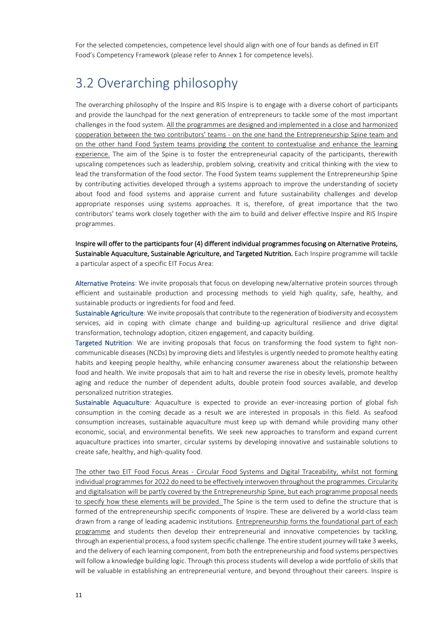For the selected competencies, competence level should align with one of four bands as defined in EIT Food's Competency Framework (please refer to Annex 1 for competence levels).

## 3.2 Overarching philosophy

The overarching philosophy of the Inspire and RIS Inspire is to engage with a diverse cohort of participants and provide the launchpad for the next generation of entrepreneurs to tackle some of the most important challenges in the food system. All the programmes are designed and implemented in a close and harmonized cooperation between the two contributors' teams - on the one hand the Entrepreneurship Spine team and on the other hand Food System teams providing the content to contextualise and enhance the learning experience. The aim of the Spine is to foster the entrepreneurial capacity of the participants, therewith upscaling competences such as leadership, problem solving, creativity and critical thinking with the view to lead the transformation of the food sector. The Food System teams supplement the Entrepreneurship Spine by contributing activities developed through a systems approach to improve the understanding of society about food and food systems and appraise current and future sustainability challenges and develop appropriate responses using systems approaches. It is, therefore, of great importance that the two contributors' teams work closely together with the aim to build and deliver effective Inspire and RIS Inspire programmes.

Inspire will offer to the participants four (4) different individual programmes focusing on Alternative Proteins, Sustainable Aquaculture, Sustainable Agriculture, and Targeted Nutrition. Each Inspire programme will tackle a particular aspect of a specific EIT Focus Area:

Alternative Proteins: We invite proposals that focus on developing new/alternative protein sources through efficient and sustainable production and processing methods to yield high quality, safe, healthy, and sustainable products or ingredients for food and feed.

Sustainable Agriculture: We invite proposals that contribute to the regeneration of biodiversity and ecosystem services, aid in coping with climate change and building-up agricultural resilience and drive digital transformation, technology adoption, citizen engagement, and capacity building.

Targeted Nutrition: We are inviting proposals that focus on transforming the food system to fight noncommunicable diseases (NCDs) by improving diets and lifestyles is urgently needed to promote healthy eating habits and keeping people healthy, while enhancing consumer awareness about the relationship between food and health. We invite proposals that aim to halt and reverse the rise in obesity levels, promote healthy aging and reduce the number of dependent adults, double protein food sources available, and develop personalized nutrition strategies.

Sustainable Aquaculture: Aquaculture is expected to provide an ever-increasing portion of global fish consumption in the coming decade as a result we are interested in proposals in this field. As seafood consumption increases, sustainable aquaculture must keep up with demand while providing many other economic, social, and environmental benefits. We seek new approaches to transform and expand current aquaculture practices into smarter, circular systems by developing innovative and sustainable solutions to create safe, healthy, and high-quality food.

The other two EIT Food Focus Areas - Circular Food Systems and Digital Traceability, whilst not forming individual programmes for 2022 do need to be effectively interwoven throughout the programmes. Circularity and digitalisation will be partly covered by the Entrepreneurship Spine, but each programme proposal needs to specify how these elements will be provided. The Spine is the term used to define the structure that is formed of the entrepreneurship specific components of Inspire. These are delivered by a world-class team drawn from a range of leading academic institutions. Entrepreneurship forms the foundational part of each programme and students then develop their entrepreneurial and innovative competencies by tackling, through an experiential process, a food system specific challenge. The entire student journey will take 3 weeks, and the delivery of each learning component, from both the entrepreneurship and food systems perspectives will follow a knowledge building logic. Through this process students will develop a wide portfolio of skills that will be valuable in establishing an entrepreneurial venture, and beyond throughout their careers. Inspire is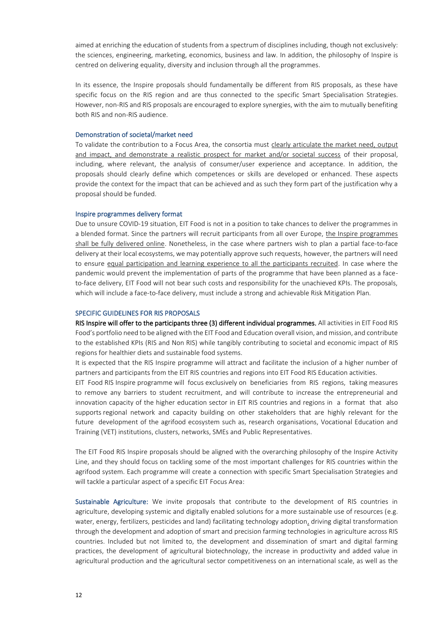aimed at enriching the education of students from a spectrum of disciplines including, though not exclusively: the sciences, engineering, marketing, economics, business and law. In addition, the philosophy of Inspire is centred on delivering equality, diversity and inclusion through all the programmes.

In its essence, the Inspire proposals should fundamentally be different from RIS proposals, as these have specific focus on the RIS region and are thus connected to the specific Smart Specialisation Strategies. However, non-RIS and RIS proposals are encouraged to explore synergies, with the aim to mutually benefiting both RIS and non-RIS audience.

#### Demonstration of societal/market need

To validate the contribution to a Focus Area, the consortia must clearly articulate the market need, output and impact, and demonstrate a realistic prospect for market and/or societal success of their proposal, including, where relevant, the analysis of consumer/user experience and acceptance. In addition, the proposals should clearly define which competences or skills are developed or enhanced. These aspects provide the context for the impact that can be achieved and as such they form part of the justification why a proposal should be funded.

#### Inspire programmes delivery format

Due to unsure COVID-19 situation, EIT Food is not in a position to take chances to deliver the programmes in a blended format. Since the partners will recruit participants from all over Europe, the Inspire programmes shall be fully delivered online. Nonetheless, in the case where partners wish to plan a partial face-to-face delivery at their local ecosystems, we may potentially approve such requests, however, the partners will need to ensure equal participation and learning experience to all the participants recruited. In case where the pandemic would prevent the implementation of parts of the programme that have been planned as a faceto-face delivery, EIT Food will not bear such costs and responsibility for the unachieved KPIs. The proposals, which will include a face-to-face delivery, must include a strong and achievable Risk Mitigation Plan.

#### SPECIFIC GUIDELINES FOR RIS PROPOSALS

RIS Inspire will offer to the participants three (3) different individual programmes. All activities in EIT Food RIS Food's portfolio need to be aligned with the EIT Food and Education overall vision, and mission, and contribute to the established KPIs (RIS and Non RIS) while tangibly contributing to societal and economic impact of RIS regions for healthier diets and sustainable food systems.

It is expected that the RIS Inspire programme will attract and facilitate the inclusion of a higher number of partners and participants from the EIT RIS countries and regions into EIT Food RIS Education activities.

EIT Food RIS Inspire programme will focus exclusively on beneficiaries from RIS regions, taking measures to remove any barriers to student recruitment, and will contribute to increase the entrepreneurial and innovation capacity of the higher education sector in EIT RIS countries and regions in a format that also supports regional network and capacity building on other stakeholders that are highly relevant for the future development of the agrifood ecosystem such as, research organisations, Vocational Education and Training (VET) institutions, clusters, networks, SMEs and Public Representatives.

The EIT Food RIS Inspire proposals should be aligned with the overarching philosophy of the Inspire Activity Line, and they should focus on tackling some of the most important challenges for RIS countries within the agrifood system. Each programme will create a connection with specific Smart Specialisation Strategies and will tackle a particular aspect of a specific EIT Focus Area:

Sustainable Agriculture: We invite proposals that contribute to the development of RIS countries in agriculture, developing systemic and digitally enabled solutions for a more sustainable use of resources (e.g. water, energy, fertilizers, pesticides and land) facilitating technology adoption, driving digital transformation through the development and adoption of smart and precision farming technologies in agriculture across RIS countries. Included but not limited to, the development and dissemination of smart and digital farming practices, the development of agricultural biotechnology, the increase in productivity and added value in agricultural production and the agricultural sector competitiveness on an international scale, as well as the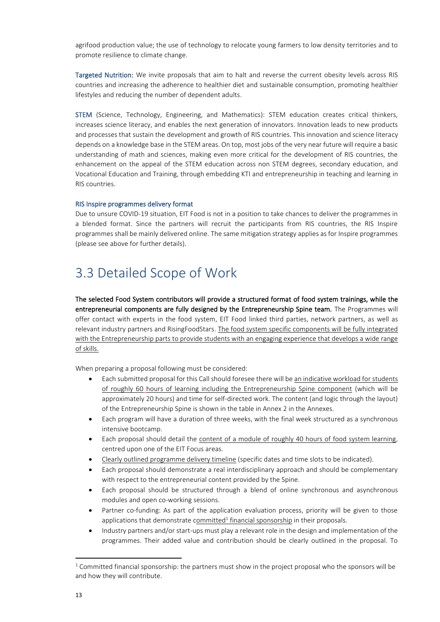agrifood production value; the use of technology to relocate young farmers to low density territories and to promote resilience to climate change.

Targeted Nutrition: We invite proposals that aim to halt and reverse the current obesity levels across RIS countries and increasing the adherence to healthier diet and sustainable consumption, promoting healthier lifestyles and reducing the number of dependent adults.

STEM (Science, Technology, Engineering, and Mathematics): STEM education creates critical thinkers, increases science literacy, and enables the next generation of innovators. Innovation leads to new products and processes that sustain the development and growth of RIS countries. This innovation and science literacy depends on a knowledge base in the STEM areas. On top, most jobs of the very near future will require a basic understanding of math and sciences, making even more critical for the development of RIS countries, the enhancement on the appeal of the STEM education across non STEM degrees, secondary education, and Vocational Education and Training, through embedding KTI and entrepreneurship in teaching and learning in RIS countries.

#### RIS Inspire programmes delivery format

Due to unsure COVID-19 situation, EIT Food is not in a position to take chances to deliver the programmes in a blended format. Since the partners will recruit the participants from RIS countries, the RIS Inspire programmes shall be mainly delivered online. The same mitigation strategy applies as for Inspire programmes (please see above for further details).

### 3.3 Detailed Scope of Work

The selected Food System contributors will provide a structured format of food system trainings, while the entrepreneurial components are fully designed by the Entrepreneurship Spine team. The Programmes will offer contact with experts in the food system, EIT Food linked third parties, network partners, as well as relevant industry partners and RisingFoodStars. The food system specific components will be fully integrated with the Entrepreneurship parts to provide students with an engaging experience that develops a wide range of skills.

When preparing a proposal following must be considered:

- Each submitted proposal for this Call should foresee there will be an indicative workload for students of roughly 60 hours of learning including the Entrepreneurship Spine component (which will be approximately 20 hours) and time for self-directed work. The content (and logic through the layout) of the Entrepreneurship Spine is shown in the table in Annex 2 in the Annexes.
- Each program will have a duration of three weeks, with the final week structured as a synchronous intensive bootcamp.
- Each proposal should detail the content of a module of roughly 40 hours of food system learning, centred upon one of the EIT Focus areas.
- Clearly outlined programme delivery timeline (specific dates and time slots to be indicated).
- Each proposal should demonstrate a real interdisciplinary approach and should be complementary with respect to the entrepreneurial content provided by the Spine.
- Each proposal should be structured through a blend of online synchronous and asynchronous modules and open co-working sessions.
- Partner co-funding: As part of the application evaluation process, priority will be given to those applications that demonstrate committed<sup>1</sup> financial sponsorship in their proposals.
- Industry partners and/or start-ups must play a relevant role in the design and implementation of the programmes. Their added value and contribution should be clearly outlined in the proposal. To

 $1$  Committed financial sponsorship: the partners must show in the project proposal who the sponsors will be and how they will contribute.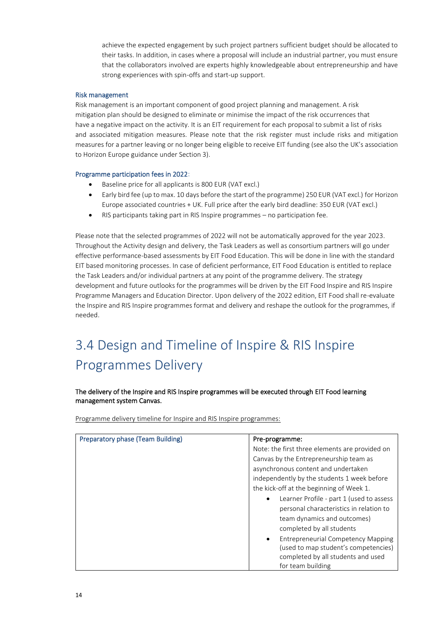achieve the expected engagement by such project partners sufficient budget should be allocated to their tasks. In addition, in cases where a proposal will include an industrial partner, you must ensure that the collaborators involved are experts highly knowledgeable about entrepreneurship and have strong experiences with spin-offs and start-up support.

#### Risk management

Risk management is an important component of good project planning and management. A risk mitigation plan should be designed to eliminate or minimise the impact of the risk occurrences that have a negative impact on the activity. It is an EIT requirement for each proposal to submit a list of risks and associated mitigation measures. Please note that the risk register must include risks and mitigation measures for a partner leaving or no longer being eligible to receive EIT funding (see also the UK's association to Horizon Europe guidance under Section 3).

#### Programme participation fees in 2022:

- Baseline price for all applicants is 800 EUR (VAT excl.)
- Early bird fee (up to max. 10 days before the start of the programme) 250 EUR (VAT excl.) for Horizon Europe associated countries + UK. Full price after the early bird deadline: 350 EUR (VAT excl.)
- RIS participants taking part in RIS Inspire programmes no participation fee.

Please note that the selected programmes of 2022 will not be automatically approved for the year 2023. Throughout the Activity design and delivery, the Task Leaders as well as consortium partners will go under effective performance-based assessments by EIT Food Education. This will be done in line with the standard EIT based monitoring processes. In case of deficient performance, EIT Food Education is entitled to replace the Task Leaders and/or individual partners at any point of the programme delivery. The strategy development and future outlooks for the programmes will be driven by the EIT Food Inspire and RIS Inspire Programme Managers and Education Director. Upon delivery of the 2022 edition, EIT Food shall re-evaluate the Inspire and RIS Inspire programmes format and delivery and reshape the outlook for the programmes, if needed.

## 3.4 Design and Timeline of Inspire & RIS Inspire Programmes Delivery

#### The delivery of the Inspire and RIS Inspire programmes will be executed through EIT Food learning management system Canvas.

Programme delivery timeline for Inspire and RIS Inspire programmes:

| <b>Preparatory phase (Team Building)</b> | Pre-programme:                                         |
|------------------------------------------|--------------------------------------------------------|
|                                          | Note: the first three elements are provided on         |
|                                          | Canvas by the Entrepreneurship team as                 |
|                                          | asynchronous content and undertaken                    |
|                                          | independently by the students 1 week before            |
|                                          | the kick-off at the beginning of Week 1.               |
|                                          | Learner Profile - part 1 (used to assess<br>$\bullet$  |
|                                          | personal characteristics in relation to                |
|                                          | team dynamics and outcomes)                            |
|                                          | completed by all students                              |
|                                          | <b>Entrepreneurial Competency Mapping</b><br>$\bullet$ |
|                                          | (used to map student's competencies)                   |
|                                          | completed by all students and used                     |
|                                          | for team building                                      |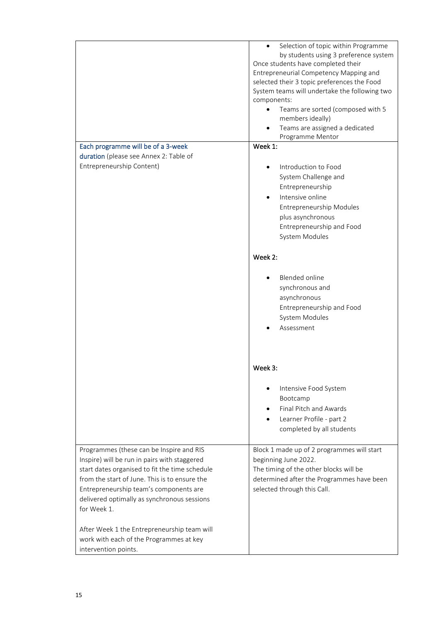|                                                                                                                                                                                                                                                                                                                                                    | Selection of topic within Programme<br>$\bullet$<br>by students using 3 preference system<br>Once students have completed their<br>Entrepreneurial Competency Mapping and<br>selected their 3 topic preferences the Food<br>System teams will undertake the following two<br>components:<br>Teams are sorted (composed with 5<br>members ideally)<br>Teams are assigned a dedicated<br>Programme Mentor |
|----------------------------------------------------------------------------------------------------------------------------------------------------------------------------------------------------------------------------------------------------------------------------------------------------------------------------------------------------|---------------------------------------------------------------------------------------------------------------------------------------------------------------------------------------------------------------------------------------------------------------------------------------------------------------------------------------------------------------------------------------------------------|
| Each programme will be of a 3-week                                                                                                                                                                                                                                                                                                                 | Week 1:                                                                                                                                                                                                                                                                                                                                                                                                 |
| duration (please see Annex 2: Table of                                                                                                                                                                                                                                                                                                             |                                                                                                                                                                                                                                                                                                                                                                                                         |
| Entrepreneurship Content)                                                                                                                                                                                                                                                                                                                          | Introduction to Food<br>System Challenge and<br>Entrepreneurship<br>Intensive online<br>Entrepreneurship Modules<br>plus asynchronous<br>Entrepreneurship and Food<br>System Modules                                                                                                                                                                                                                    |
|                                                                                                                                                                                                                                                                                                                                                    | Week 2:                                                                                                                                                                                                                                                                                                                                                                                                 |
|                                                                                                                                                                                                                                                                                                                                                    | <b>Blended online</b><br>synchronous and<br>asynchronous<br>Entrepreneurship and Food<br>System Modules<br>Assessment                                                                                                                                                                                                                                                                                   |
|                                                                                                                                                                                                                                                                                                                                                    | Week 3:                                                                                                                                                                                                                                                                                                                                                                                                 |
|                                                                                                                                                                                                                                                                                                                                                    | Intensive Food System<br>Bootcamp<br>Final Pitch and Awards<br>Learner Profile - part 2<br>completed by all students                                                                                                                                                                                                                                                                                    |
| Programmes (these can be Inspire and RIS<br>Inspire) will be run in pairs with staggered<br>start dates organised to fit the time schedule<br>from the start of June. This is to ensure the<br>Entrepreneurship team's components are<br>delivered optimally as synchronous sessions<br>for Week 1.<br>After Week 1 the Entrepreneurship team will | Block 1 made up of 2 programmes will start<br>beginning June 2022.<br>The timing of the other blocks will be<br>determined after the Programmes have been<br>selected through this Call.                                                                                                                                                                                                                |
| work with each of the Programmes at key<br>intervention points.                                                                                                                                                                                                                                                                                    |                                                                                                                                                                                                                                                                                                                                                                                                         |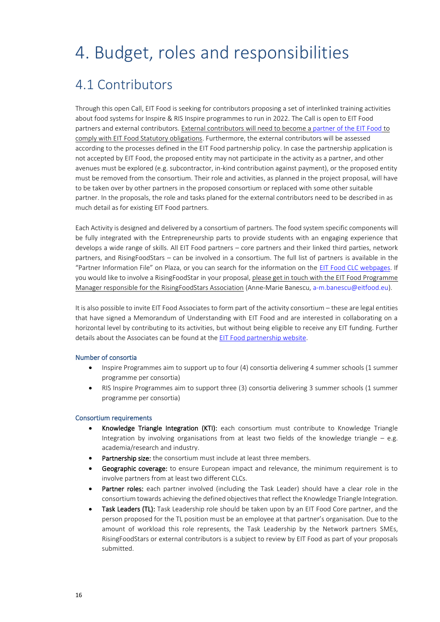## 4. Budget, roles and responsibilities

### 4.1 Contributors

Through this open Call, EIT Food is seeking for contributors proposing a set of interlinked training activities about food systems for Inspire & RIS Inspire programmes to run in 2022. The Call is open to EIT Food partners and external contributors. External contributors will need to become [a partner of the EIT Food](https://www.eitfood.eu/news/post/more-info-on-eit-food-partnerships) to comply with EIT Food Statutory obligations. Furthermore, the external contributors will be assessed according to the processes defined in the EIT Food partnership policy. In case the partnership application is not accepted by EIT Food, the proposed entity may not participate in the activity as a partner, and other avenues must be explored (e.g. subcontractor, in-kind contribution against payment), or the proposed entity must be removed from the consortium. Their role and activities, as planned in the project proposal, will have to be taken over by other partners in the proposed consortium or replaced with some other suitable partner. In the proposals, the role and tasks planed for the external contributors need to be described in as much detail as for existing EIT Food partners.

Each Activity is designed and delivered by a consortium of partners. The food system specific components will be fully integrated with the Entrepreneurship parts to provide students with an engaging experience that develops a wide range of skills. All EIT Food partners – core partners and their linked third parties, network partners, and RisingFoodStars – can be involved in a consortium. The full list of partners is available in the "Partner Information File" on Plaza, or you can search for the information on the [EIT Food CLC webpages.](https://www.eitfood.eu/contact#regions) If you would like to involve a RisingFoodStar in your proposal, please get in touch with the EIT Food Programme Manager responsible for the RisingFoodStars Association (Anne-Marie Banescu[, a-m.banescu@eitfood.eu\)](mailto:a-m.banescu@eitfood.eu).

It is also possible to invite EIT Food Associates to form part of the activity consortium – these are legal entities that have signed a Memorandum of Understanding with EIT Food and are interested in collaborating on a horizontal level by contributing to its activities, but without being eligible to receive any EIT funding. Further details about the Associates can be found at the [EIT Food partnership website.](https://www.eitfood.eu/news/post/more-info-on-eit-food-partnerships)

#### Number of consortia

- Inspire Programmes aim to support up to four (4) consortia delivering 4 summer schools (1 summer programme per consortia)
- RIS Inspire Programmes aim to support three (3) consortia delivering 3 summer schools (1 summer programme per consortia)

#### Consortium requirements

- Knowledge Triangle Integration (KTI): each consortium must contribute to Knowledge Triangle Integration by involving organisations from at least two fields of the knowledge triangle – e.g. academia/research and industry.
- Partnership size: the consortium must include at least three members.
- **Geographic coverage:** to ensure European impact and relevance, the minimum requirement is to involve partners from at least two different CLCs.
- Partner roles: each partner involved (including the Task Leader) should have a clear role in the consortium towards achieving the defined objectives that reflect the Knowledge Triangle Integration.
- Task Leaders (TL): Task Leadership role should be taken upon by an EIT Food Core partner, and the person proposed for the TL position must be an employee at that partner's organisation. Due to the amount of workload this role represents, the Task Leadership by the Network partners SMEs, RisingFoodStars or external contributors is a subject to review by EIT Food as part of your proposals submitted.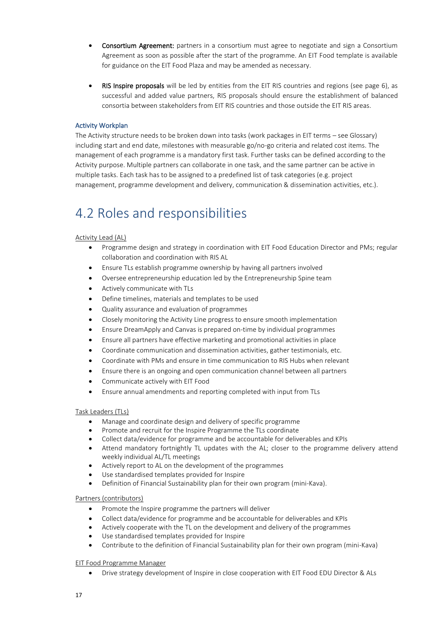- Consortium Agreement: partners in a consortium must agree to negotiate and sign a Consortium Agreement as soon as possible after the start of the programme. An EIT Food template is available for guidance on the EIT Food Plaza and may be amended as necessary.
- RIS Inspire proposals will be led by entities from the EIT RIS countries and regions (see page 6), as successful and added value partners, RIS proposals should ensure the establishment of balanced consortia between stakeholders from EIT RIS countries and those outside the EIT RIS areas.

#### Activity Workplan

The Activity structure needs to be broken down into tasks (work packages in EIT terms – see Glossary) including start and end date, milestones with measurable go/no-go criteria and related cost items. The management of each programme is a mandatory first task. Further tasks can be defined according to the Activity purpose. Multiple partners can collaborate in one task, and the same partner can be active in multiple tasks. Each task has to be assigned to a predefined list of task categories (e.g. project management, programme development and delivery, communication & dissemination activities, etc.).

### 4.2 Roles and responsibilities

#### Activity Lead (AL)

- Programme design and strategy in coordination with EIT Food Education Director and PMs; regular collaboration and coordination with RIS AL
- Ensure TLs establish programme ownership by having all partners involved
- Oversee entrepreneurship education led by the Entrepreneurship Spine team
- Actively communicate with TLs
- Define timelines, materials and templates to be used
- Quality assurance and evaluation of programmes
- Closely monitoring the Activity Line progress to ensure smooth implementation
- Ensure DreamApply and Canvas is prepared on-time by individual programmes
- Ensure all partners have effective marketing and promotional activities in place
- Coordinate communication and dissemination activities, gather testimonials, etc.
- Coordinate with PMs and ensure in time communication to RIS Hubs when relevant
- Ensure there is an ongoing and open communication channel between all partners
- Communicate actively with EIT Food
- Ensure annual amendments and reporting completed with input from TLs

#### Task Leaders (TLs)

- Manage and coordinate design and delivery of specific programme
- Promote and recruit for the Inspire Programme the TLs coordinate
- Collect data/evidence for programme and be accountable for deliverables and KPIs
- Attend mandatory fortnightly TL updates with the AL; closer to the programme delivery attend weekly individual AL/TL meetings
- Actively report to AL on the development of the programmes
- Use standardised templates provided for Inspire
- Definition of Financial Sustainability plan for their own program (mini-Kava).

#### Partners (contributors)

- Promote the Inspire programme the partners will deliver
- Collect data/evidence for programme and be accountable for deliverables and KPIs
- Actively cooperate with the TL on the development and delivery of the programmes
- Use standardised templates provided for Inspire
- Contribute to the definition of Financial Sustainability plan for their own program (mini-Kava)

#### EIT Food Programme Manager

• Drive strategy development of Inspire in close cooperation with EIT Food EDU Director & ALs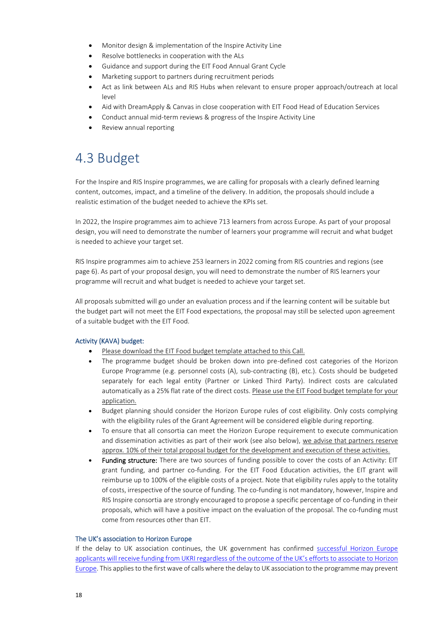- Monitor design & implementation of the Inspire Activity Line
- Resolve bottlenecks in cooperation with the ALs
- Guidance and support during the EIT Food Annual Grant Cycle
- Marketing support to partners during recruitment periods
- Act as link between ALs and RIS Hubs when relevant to ensure proper approach/outreach at local level
- Aid with DreamApply & Canvas in close cooperation with EIT Food Head of Education Services
- Conduct annual mid-term reviews & progress of the Inspire Activity Line
- Review annual reporting

## 4.3 Budget

For the Inspire and RIS Inspire programmes, we are calling for proposals with a clearly defined learning content, outcomes, impact, and a timeline of the delivery. In addition, the proposals should include a realistic estimation of the budget needed to achieve the KPIs set.

In 2022, the Inspire programmes aim to achieve 713 learners from across Europe. As part of your proposal design, you will need to demonstrate the number of learners your programme will recruit and what budget is needed to achieve your target set.

RIS Inspire programmes aim to achieve 253 learners in 2022 coming from RIS countries and regions (see page 6). As part of your proposal design, you will need to demonstrate the number of RIS learners your programme will recruit and what budget is needed to achieve your target set.

All proposals submitted will go under an evaluation process and if the learning content will be suitable but the budget part will not meet the EIT Food expectations, the proposal may still be selected upon agreement of a suitable budget with the EIT Food.

#### Activity (KAVA) budget:

- Please download the EIT Food budget template attached to this Call.
- The programme budget should be broken down into pre-defined cost categories of the Horizon Europe Programme (e.g. personnel costs (A), sub-contracting (B), etc.). Costs should be budgeted separately for each legal entity (Partner or Linked Third Party). Indirect costs are calculated automatically as a 25% flat rate of the direct costs. Please use the EIT Food budget template for your application.
- Budget planning should consider the Horizon Europe rules of cost eligibility. Only costs complying with the eligibility rules of the Grant Agreement will be considered eligible during reporting.
- To ensure that all consortia can meet the Horizon Europe requirement to execute communication and dissemination activities as part of their work (see also below), we advise that partners reserve approx. 10% of their total proposal budget for the development and execution of these activities.
- Funding structure: There are two sources of funding possible to cover the costs of an Activity: EIT grant funding, and partner co-funding. For the EIT Food Education activities, the EIT grant will reimburse up to 100% of the eligible costs of a project. Note that eligibility rules apply to the totality of costs, irrespective of the source of funding. The co-funding is not mandatory, however, Inspire and RIS Inspire consortia are strongly encouraged to propose a specific percentage of co-funding in their proposals, which will have a positive impact on the evaluation of the proposal. The co-funding must come from resources other than EIT.

#### The UK's association to Horizon Europe

If the delay to UK association continues, the UK government has confirmed successful Horizon Europe [applicants will receive funding from UKRI regardless of the outcome of the UK's efforts to associate to](https://www.gov.uk/government/news/uk-government-provides-financial-safety-net-for-horizon-europe-applicants) Horizon [Europe.](https://www.gov.uk/government/news/uk-government-provides-financial-safety-net-for-horizon-europe-applicants) This applies to the first wave of calls where the delay to UK association to the programme may prevent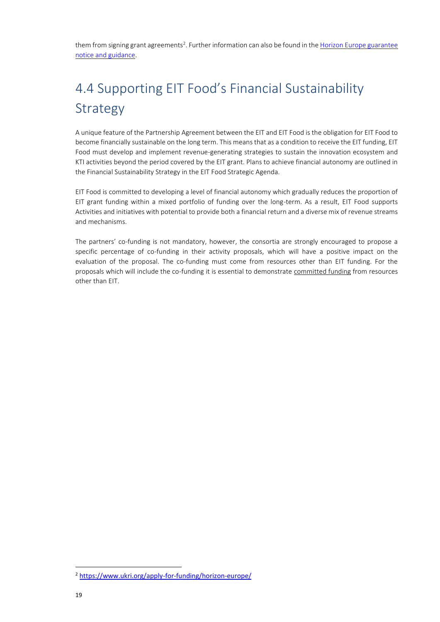them from signing grant agreements<sup>2</sup>. Further information can also be found in the Horizon Europe guarantee [notice and guidance.](https://www.ukri.org/publications/horizon-europe-guarantee-notice-and-guidance/)

## 4.4 Supporting EIT Food's Financial Sustainability Strategy

A unique feature of the Partnership Agreement between the EIT and EIT Food is the obligation for EIT Food to become financially sustainable on the long term. This means that as a condition to receive the EIT funding, EIT Food must develop and implement revenue-generating strategies to sustain the innovation ecosystem and KTI activities beyond the period covered by the EIT grant. Plans to achieve financial autonomy are outlined in the Financial Sustainability Strategy in the EIT Food Strategic Agenda.

EIT Food is committed to developing a level of financial autonomy which gradually reduces the proportion of EIT grant funding within a mixed portfolio of funding over the long-term. As a result, EIT Food supports Activities and initiatives with potential to provide both a financial return and a diverse mix of revenue streams and mechanisms.

The partners' co-funding is not mandatory, however, the consortia are strongly encouraged to propose a specific percentage of co-funding in their activity proposals, which will have a positive impact on the evaluation of the proposal. The co-funding must come from resources other than EIT funding. For the proposals which will include the co-funding it is essential to demonstrate committed funding from resources other than EIT.

<sup>2</sup> <https://www.ukri.org/apply-for-funding/horizon-europe/>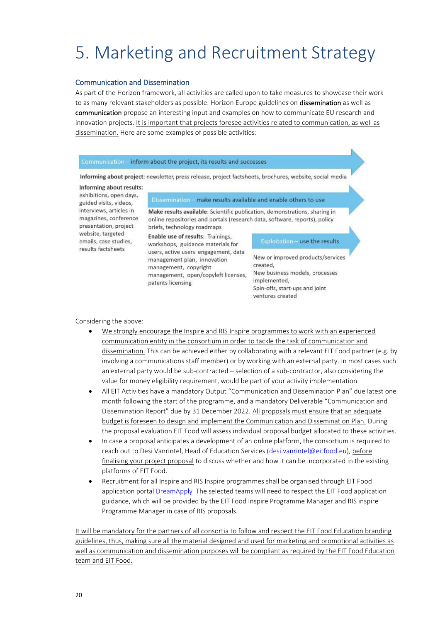# 5. Marketing and Recruitment Strategy

#### Communication and Dissemination

As part of the Horizon framework, all activities are called upon to take measures to showcase their work to as many relevant stakeholders as possible. Horizon Europe guidelines on **dissemination** as well as communication propose an interesting input and examples on how to communicate EU research and innovation projects. It is important that projects foresee activities related to communication, as well as dissemination. Here are some examples of possible activities:

#### Communication - inform about the project, its results and successes

Informing about project: newsletter, press release, project factsheets, brochures, website, social media

#### Informing about results:

exhibitions, open days, guided visits, videos, interviews, articles in magazines, conference presentation, project website, targeted emails, case studies. results factsheets

Dissemination - make results available and enable others to use

Make results available: Scientific publication, demonstrations, sharing in online repositories and portals (research data, software, reports), policy briefs, technology roadmaps

Enable use of results: Trainings, workshops, guidance materials for users, active users engagement, data management plan, innovation management, copyright management, open/copyleft licenses, patents licensing

#### Exploitation - use the results

New or improved products/services created. New business models, processes implemented. Spin-offs, start-ups and joint ventures created

Considering the above:

- We strongly encourage the Inspire and RIS Inspire programmes to work with an experienced communication entity in the consortium in order to tackle the task of communication and dissemination. This can be achieved either by collaborating with a relevant EIT Food partner (e.g. by involving a communications staff member) or by working with an external party. In most cases such an external party would be sub-contracted – selection of a sub-contractor, also considering the value for money eligibility requirement, would be part of your activity implementation.
- All EIT Activities have a mandatory Output "Communication and Dissemination Plan" due latest one month following the start of the programme, and a mandatory Deliverable "Communication and Dissemination Report" due by 31 December 2022. All proposals must ensure that an adequate budget is foreseen to design and implement the Communication and Dissemination Plan. During the proposal evaluation EIT Food will assess individual proposal budget allocated to these activities.
- In case a proposal anticipates a development of an online platform, the consortium is required to reach out to Desi Vanrintel, Head of Education Services [\(desi.vanrintel@eitfood.eu\)](mailto:desi.vanrintel@eitfood.eu), before finalising your project proposal to discuss whether and how it can be incorporated in the existing platforms of EIT Food.
- Recruitment for all Inspire and RIS Inspire programmes shall be organised through EIT Food application portal [DreamApply](https://apply.eitfood.eu/) The selected teams will need to respect the EIT Food application guidance, which will be provided by the EIT Food Inspire Programme Manager and RIS inspire Programme Manager in case of RIS proposals.

It will be mandatory for the partners of all consortia to follow and respect the EIT Food Education branding guidelines, thus, making sure all the material designed and used for marketing and promotional activities as well as communication and dissemination purposes will be compliant as required by the EIT Food Education team and EIT Food.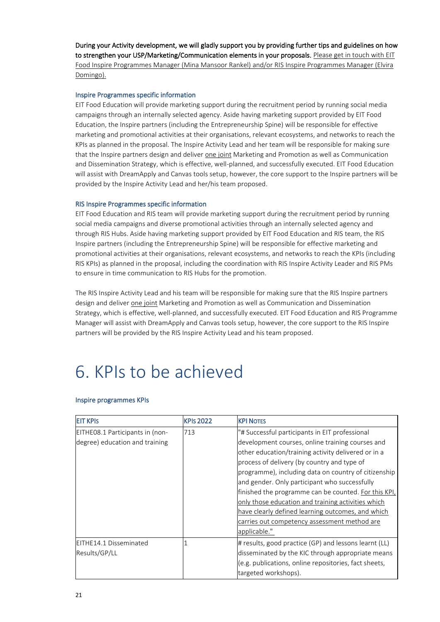During your Activity development, we will gladly support you by providing further tips and guidelines on how to strengthen your USP/Marketing/Communication elements in your proposals. Please get in touch with EIT Food Inspire Programmes Manager (Mina Mansoor Rankel) and/or RIS Inspire Programmes Manager (Elvira Domingo).

#### Inspire Programmes specific information

EIT Food Education will provide marketing support during the recruitment period by running social media campaigns through an internally selected agency. Aside having marketing support provided by EIT Food Education, the Inspire partners (including the Entrepreneurship Spine) will be responsible for effective marketing and promotional activities at their organisations, relevant ecosystems, and networks to reach the KPIs as planned in the proposal. The Inspire Activity Lead and her team will be responsible for making sure that the Inspire partners design and deliver one joint Marketing and Promotion as well as Communication and Dissemination Strategy, which is effective, well-planned, and successfully executed. EIT Food Education will assist with DreamApply and Canvas tools setup, however, the core support to the Inspire partners will be provided by the Inspire Activity Lead and her/his team proposed.

#### RIS Inspire Programmes specific information

EIT Food Education and RIS team will provide marketing support during the recruitment period by running social media campaigns and diverse promotional activities through an internally selected agency and through RIS Hubs. Aside having marketing support provided by EIT Food Education and RIS team, the RIS Inspire partners (including the Entrepreneurship Spine) will be responsible for effective marketing and promotional activities at their organisations, relevant ecosystems, and networks to reach the KPIs (including RIS KPIs) as planned in the proposal, including the coordination with RIS Inspire Activity Leader and RIS PMs to ensure in time communication to RIS Hubs for the promotion.

The RIS Inspire Activity Lead and his team will be responsible for making sure that the RIS Inspire partners design and deliver one joint Marketing and Promotion as well as Communication and Dissemination Strategy, which is effective, well-planned, and successfully executed. EIT Food Education and RIS Programme Manager will assist with DreamApply and Canvas tools setup, however, the core support to the RIS Inspire partners will be provided by the RIS Inspire Activity Lead and his team proposed.

## 6. KPIs to be achieved

#### Inspire programmes KPIs

| <b>EIT KPIS</b>                 | <b>KPIs 2022</b> | <b>KPI NOTES</b>                                      |
|---------------------------------|------------------|-------------------------------------------------------|
| EITHE08.1 Participants in (non- | 713              | "# Successful participants in EIT professional        |
| degree) education and training  |                  | development courses, online training courses and      |
|                                 |                  | other education/training activity delivered or in a   |
|                                 |                  | process of delivery (by country and type of           |
|                                 |                  | programme), including data on country of citizenship  |
|                                 |                  | and gender. Only participant who successfully         |
|                                 |                  | finished the programme can be counted. For this KPI,  |
|                                 |                  | only those education and training activities which    |
|                                 |                  | have clearly defined learning outcomes, and which     |
|                                 |                  | carries out competency assessment method are          |
|                                 |                  | applicable."                                          |
| EITHE14.1 Disseminated          |                  | # results, good practice (GP) and lessons learnt (LL) |
| Results/GP/LL                   |                  | disseminated by the KIC through appropriate means     |
|                                 |                  | (e.g. publications, online repositories, fact sheets, |
|                                 |                  | targeted workshops).                                  |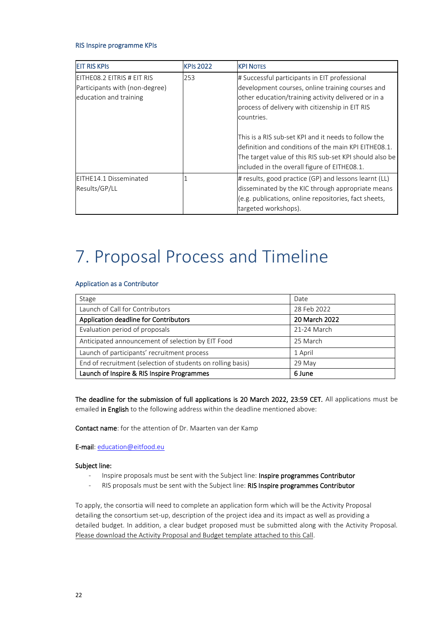#### RIS Inspire programme KPIs

| <b>EIT RIS KPIS</b>            | <b>KPIs 2022</b> | <b>KPI NOTES</b>                                        |
|--------------------------------|------------------|---------------------------------------------------------|
| EITHEO8.2 EITRIS # EIT RIS     | 253              | # Successful participants in EIT professional           |
| Participants with (non-degree) |                  | development courses, online training courses and        |
| education and training         |                  | other education/training activity delivered or in a     |
|                                |                  | process of delivery with citizenship in EIT RIS         |
|                                |                  | countries.                                              |
|                                |                  |                                                         |
|                                |                  | This is a RIS sub-set KPI and it needs to follow the    |
|                                |                  | definition and conditions of the main KPI EITHE08.1.    |
|                                |                  | The target value of this RIS sub-set KPI should also be |
|                                |                  | included in the overall figure of EITHE08.1.            |
| EITHE14.1 Disseminated         |                  | # results, good practice (GP) and lessons learnt (LL)   |
| Results/GP/LL                  |                  | disseminated by the KIC through appropriate means       |
|                                |                  | (e.g. publications, online repositories, fact sheets,   |
|                                |                  | targeted workshops).                                    |

## 7. Proposal Process and Timeline

#### Application as a Contributor

| Stage                                                       | Date          |
|-------------------------------------------------------------|---------------|
| Launch of Call for Contributors                             | 28 Feb 2022   |
| Application deadline for Contributors                       | 20 March 2022 |
| Evaluation period of proposals                              | 21-24 March   |
| Anticipated announcement of selection by EIT Food           | 25 March      |
| Launch of participants' recruitment process                 | 1 April       |
| End of recruitment (selection of students on rolling basis) | 29 May        |
| Launch of Inspire & RIS Inspire Programmes                  | 6 June        |

The deadline for the submission of full applications is 20 March 2022, 23:59 CET. All applications must be emailed in English to the following address within the deadline mentioned above:

Contact name: for the attention of Dr. Maarten van der Kamp

E-mail: [education@eitfood.eu](mailto:education@eitfood.eu)

#### Subject line:

- Inspire proposals must be sent with the Subject line: Inspire programmes Contributor
- RIS proposals must be sent with the Subject line: RIS Inspire programmes Contributor

To apply, the consortia will need to complete an application form which will be the Activity Proposal detailing the consortium set-up, description of the project idea and its impact as well as providing a detailed budget. In addition, a clear budget proposed must be submitted along with the Activity Proposal. Please download the Activity Proposal and Budget template attached to this Call.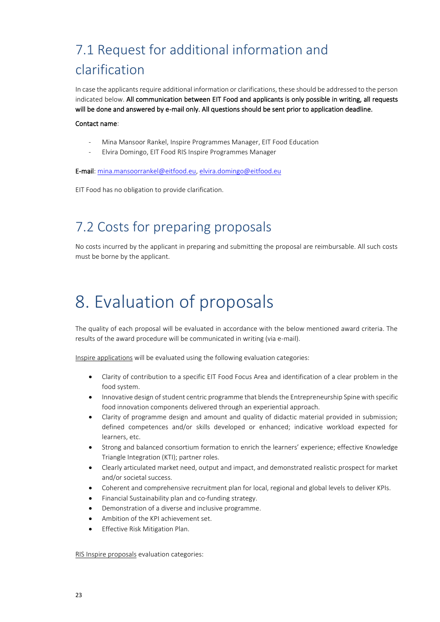## 7.1 Request for additional information and clarification

In case the applicants require additional information or clarifications, these should be addressed to the person indicated below. All communication between EIT Food and applicants is only possible in writing, all requests will be done and answered by e-mail only. All questions should be sent prior to application deadline.

#### Contact name:

- Mina Mansoor Rankel, Inspire Programmes Manager, EIT Food Education
- Elvira Domingo, EIT Food RIS Inspire Programmes Manager

E-mail: [mina.mansoorrankel@eitfood.eu,](mailto:mina.mansoorrankel@eitfood.eu) [elvira.domingo@eitfood.eu](mailto:elvira.domingo@eitfood.eu)

EIT Food has no obligation to provide clarification.

## 7.2 Costs for preparing proposals

No costs incurred by the applicant in preparing and submitting the proposal are reimbursable. All such costs must be borne by the applicant.

## 8. Evaluation of proposals

The quality of each proposal will be evaluated in accordance with the below mentioned award criteria. The results of the award procedure will be communicated in writing (via e-mail).

Inspire applications will be evaluated using the following evaluation categories:

- Clarity of contribution to a specific EIT Food Focus Area and identification of a clear problem in the food system.
- Innovative design of student centric programme that blends the Entrepreneurship Spine with specific food innovation components delivered through an experiential approach.
- Clarity of programme design and amount and quality of didactic material provided in submission; defined competences and/or skills developed or enhanced; indicative workload expected for learners, etc.
- Strong and balanced consortium formation to enrich the learners' experience; effective Knowledge Triangle Integration (KTI); partner roles.
- Clearly articulated market need, output and impact, and demonstrated realistic prospect for market and/or societal success.
- Coherent and comprehensive recruitment plan for local, regional and global levels to deliver KPIs.
- Financial Sustainability plan and co-funding strategy.
- Demonstration of a diverse and inclusive programme.
- Ambition of the KPI achievement set.
- Effective Risk Mitigation Plan.

RIS Inspire proposals evaluation categories: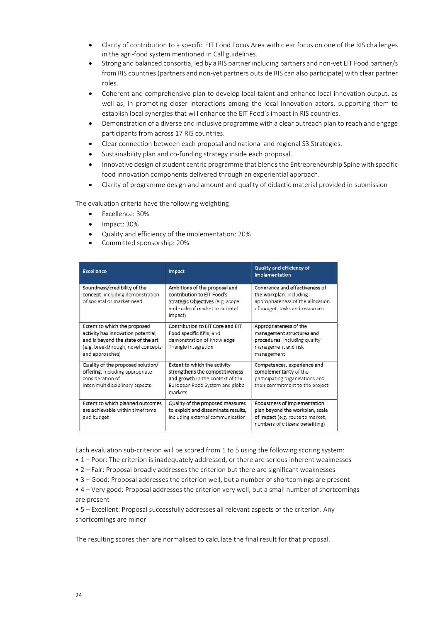- Clarity of contribution to a specific EIT Food Focus Area with clear focus on one of the RIS challenges in the agri-food system mentioned in Call guidelines.
- Strong and balanced consortia, led by a RIS partner including partners and non-yet EIT Food partner/s from RIS countries (partners and non-yet partners outside RIS can also participate) with clear partner roles.
- Coherent and comprehensive plan to develop local talent and enhance local innovation output, as well as, in promoting closer interactions among the local innovation actors, supporting them to establish local synergies that will enhance the EIT Food's impact in RIS countries.
- Demonstration of a diverse and inclusive programme with a clear outreach plan to reach and engage participants from across 17 RIS countries.
- Clear connection between each proposal and national and regional S3 Strategies.
- Sustainability plan and co-funding strategy inside each proposal.
- Innovative design of student centric programme that blends the Entrepreneurship Spine with specific food innovation components delivered through an experiential approach.
- Clarity of programme design and amount and quality of didactic material provided in submission

The evaluation criteria have the following weighting:

- Excellence: 30%
- Impact: 30%
- Quality and efficiency of the implementation: 20%
- Committed sponsorship: 20%

| Excellence                                                                                                                                                        | Impact                                                                                                                                            | Quality and efficiency of<br><i>implementation</i>                                                                                     |
|-------------------------------------------------------------------------------------------------------------------------------------------------------------------|---------------------------------------------------------------------------------------------------------------------------------------------------|----------------------------------------------------------------------------------------------------------------------------------------|
| Soundness/credibility of the<br>concept, including demonstration<br>of societal or market need.                                                                   | Ambitions of the proposal and<br>contribution to EIT Food's<br>Strategic Objectives (e.g. scope<br>and scale of market or societal<br>impact)     | Coherence and effectiveness of<br>the workplan, including<br>appropriateness of the allocation<br>of budget, tasks and resources       |
| Extent to which the proposed<br>activity has innovation potential,<br>and is beyond the state of the art<br>(e.g. breakthrough, novel concepts<br>and approaches) | Contribution to EIT Core and EIT<br>Food specific KPIs, and<br>demonstration of Knowledge<br>Triangle Integration                                 | Appropriateness of the<br>management structures and<br>procedures, including quality<br>management and risk<br>management              |
| Quality of the proposed solution/<br>offering, including appropriate<br>consideration of<br>inter/multidisciplinary aspects                                       | Extent to which the activity<br>strengthens the competitiveness<br>and growth in the context of the<br>European Food System and global<br>markets | Competences, experience and<br>complementarity of the<br>participating organisations and<br>their commitment to the project            |
| Extent to which planned outcomes<br>are achievable within timeframe<br>and budget                                                                                 | Quality of the proposed measures<br>to exploit and disseminate results,<br>including external communication                                       | Robustness of implementation<br>plan beyond the workplan, scale<br>of impact (e.g. route to market,<br>numbers of citizens benefiting) |

Each evaluation sub-criterion will be scored from 1 to 5 using the following scoring system:

- 1 Poor: The criterion is inadequately addressed, or there are serious inherent weaknesses
- 2 Fair: Proposal broadly addresses the criterion but there are significant weaknesses
- 3 Good: Proposal addresses the criterion well, but a number of shortcomings are present

• 4 – Very good: Proposal addresses the criterion very well, but a small number of shortcomings are present

• 5 – Excellent: Proposal successfully addresses all relevant aspects of the criterion. Any shortcomings are minor

The resulting scores then are normalised to calculate the final result for that proposal.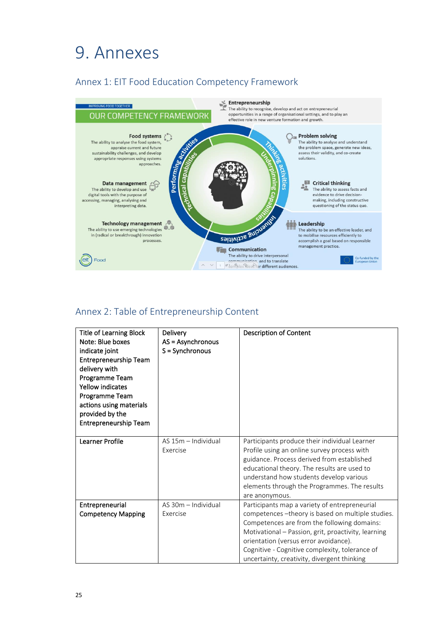## 9. Annexes

### Annex 1: EIT Food Education Competency Framework



### Annex 2: Table of Entrepreneurship Content

| <b>Title of Learning Block</b><br>Note: Blue boxes<br>indicate joint<br>Entrepreneurship Team<br>delivery with<br>Programme Team<br><b>Yellow indicates</b><br>Programme Team<br>actions using materials<br>provided by the<br>Entrepreneurship Team | Delivery<br>AS = Asynchronous<br>$S =$ Synchronous | <b>Description of Content</b>                                                                                                                                                                                                                                                                                                                       |
|------------------------------------------------------------------------------------------------------------------------------------------------------------------------------------------------------------------------------------------------------|----------------------------------------------------|-----------------------------------------------------------------------------------------------------------------------------------------------------------------------------------------------------------------------------------------------------------------------------------------------------------------------------------------------------|
| <b>Learner Profile</b>                                                                                                                                                                                                                               | AS 15m - Individual<br>Exercise                    | Participants produce their individual Learner<br>Profile using an online survey process with<br>guidance. Process derived from established<br>educational theory. The results are used to<br>understand how students develop various<br>elements through the Programmes. The results<br>are anonymous.                                              |
| Entrepreneurial<br><b>Competency Mapping</b>                                                                                                                                                                                                         | AS 30m - Individual<br>Exercise                    | Participants map a variety of entrepreneurial<br>competences - theory is based on multiple studies.<br>Competences are from the following domains:<br>Motivational - Passion, grit, proactivity, learning<br>orientation (versus error avoidance).<br>Cognitive - Cognitive complexity, tolerance of<br>uncertainty, creativity, divergent thinking |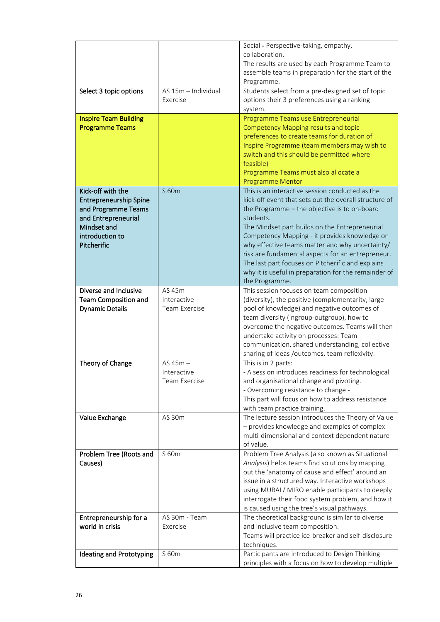|                               |                     | Social - Perspective-taking, empathy,                                                                |
|-------------------------------|---------------------|------------------------------------------------------------------------------------------------------|
|                               |                     | collaboration.                                                                                       |
|                               |                     | The results are used by each Programme Team to                                                       |
|                               |                     | assemble teams in preparation for the start of the                                                   |
| Select 3 topic options        | AS 15m - Individual | Programme.<br>Students select from a pre-designed set of topic                                       |
|                               | Exercise            | options their 3 preferences using a ranking                                                          |
|                               |                     | system.                                                                                              |
| <b>Inspire Team Building</b>  |                     | Programme Teams use Entrepreneurial                                                                  |
| <b>Programme Teams</b>        |                     | <b>Competency Mapping results and topic</b>                                                          |
|                               |                     | preferences to create teams for duration of                                                          |
|                               |                     | Inspire Programme (team members may wish to                                                          |
|                               |                     | switch and this should be permitted where                                                            |
|                               |                     | feasible)                                                                                            |
|                               |                     | Programme Teams must also allocate a<br><b>Programme Mentor</b>                                      |
| Kick-off with the             | S 60m               | This is an interactive session conducted as the                                                      |
| <b>Entrepreneurship Spine</b> |                     | kick-off event that sets out the overall structure of                                                |
| and Programme Teams           |                     | the Programme - the objective is to on-board                                                         |
| and Entrepreneurial           |                     | students.                                                                                            |
| Mindset and                   |                     | The Mindset part builds on the Entrepreneurial                                                       |
| introduction to               |                     | Competency Mapping - it provides knowledge on                                                        |
| Pitcherific                   |                     | why effective teams matter and why uncertainty/<br>risk are fundamental aspects for an entrepreneur. |
|                               |                     | The last part focuses on Pitcherific and explains                                                    |
|                               |                     | why it is useful in preparation for the remainder of                                                 |
|                               |                     | the Programme.                                                                                       |
| Diverse and Inclusive         | AS 45m -            | This session focuses on team composition                                                             |
| <b>Team Composition and</b>   | Interactive         | (diversity), the positive (complementarity, large                                                    |
| <b>Dynamic Details</b>        | Team Exercise       | pool of knowledge) and negative outcomes of                                                          |
|                               |                     | team diversity (ingroup-outgroup), how to<br>overcome the negative outcomes. Teams will then         |
|                               |                     | undertake activity on processes: Team                                                                |
|                               |                     | communication, shared understanding, collective                                                      |
|                               |                     | sharing of ideas /outcomes, team reflexivity.                                                        |
| Theory of Change              | $AS$ 45m $-$        | This is in 2 parts:                                                                                  |
|                               | Interactive         | A session introduces readiness for technological                                                     |
|                               | Team Exercise       | and organisational change and pivoting.                                                              |
|                               |                     | - Overcoming resistance to change -<br>This part will focus on how to address resistance             |
|                               |                     | with team practice training.                                                                         |
| Value Exchange                | AS 30m              | The lecture session introduces the Theory of Value                                                   |
|                               |                     | - provides knowledge and examples of complex                                                         |
|                               |                     | multi-dimensional and context dependent nature                                                       |
|                               |                     | of value.                                                                                            |
| Problem Tree (Roots and       | S 60m               | Problem Tree Analysis (also known as Situational                                                     |
| Causes)                       |                     | Analysis) helps teams find solutions by mapping<br>out the 'anatomy of cause and effect' around an   |
|                               |                     | issue in a structured way. Interactive workshops                                                     |
|                               |                     | using MURAL/ MIRO enable participants to deeply                                                      |
|                               |                     | interrogate their food system problem, and how it                                                    |
|                               |                     | is caused using the tree's visual pathways.                                                          |
| Entrepreneurship for a        | AS 30m - Team       | The theoretical background is similar to diverse                                                     |
| world in crisis               | Exercise            | and inclusive team composition.                                                                      |
|                               |                     | Teams will practice ice-breaker and self-disclosure                                                  |
| Ideating and Prototyping      | S 60m               | techniques.<br>Participants are introduced to Design Thinking                                        |
|                               |                     | principles with a focus on how to develop multiple                                                   |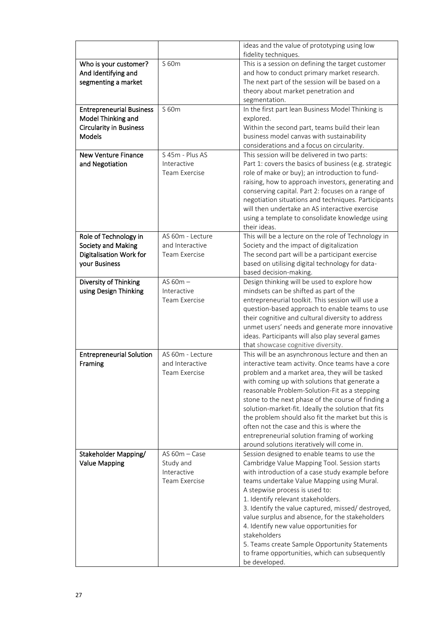|                                 |                          | ideas and the value of prototyping using low                                                          |
|---------------------------------|--------------------------|-------------------------------------------------------------------------------------------------------|
|                                 |                          | fidelity techniques.                                                                                  |
| Who is your customer?           | S 60m                    | This is a session on defining the target customer                                                     |
| And Identifying and             |                          | and how to conduct primary market research.                                                           |
| segmenting a market             |                          | The next part of the session will be based on a                                                       |
|                                 |                          | theory about market penetration and                                                                   |
|                                 |                          | segmentation.                                                                                         |
| <b>Entrepreneurial Business</b> | S 60m                    | In the first part lean Business Model Thinking is                                                     |
| Model Thinking and              |                          | explored.                                                                                             |
| <b>Circularity in Business</b>  |                          | Within the second part, teams build their lean                                                        |
| Models                          |                          | business model canvas with sustainability                                                             |
|                                 |                          | considerations and a focus on circularity.                                                            |
| <b>New Venture Finance</b>      | S 45m - Plus AS          | This session will be delivered in two parts:                                                          |
| and Negotiation                 | Interactive              | Part 1: covers the basics of business (e.g. strategic                                                 |
|                                 | Team Exercise            | role of make or buy); an introduction to fund-                                                        |
|                                 |                          | raising, how to approach investors, generating and                                                    |
|                                 |                          | conserving capital. Part 2: focuses on a range of                                                     |
|                                 |                          | negotiation situations and techniques. Participants<br>will then undertake an AS interactive exercise |
|                                 |                          | using a template to consolidate knowledge using                                                       |
|                                 |                          | their ideas.                                                                                          |
| Role of Technology in           | AS 60m - Lecture         | This will be a lecture on the role of Technology in                                                   |
| Society and Making              | and Interactive          | Society and the impact of digitalization                                                              |
| Digitalisation Work for         | Team Exercise            | The second part will be a participant exercise                                                        |
| your Business                   |                          | based on utilising digital technology for data-                                                       |
|                                 |                          | based decision-making.                                                                                |
| Diversity of Thinking           | AS $60m -$               | Design thinking will be used to explore how                                                           |
| using Design Thinking           | Interactive              | mindsets can be shifted as part of the                                                                |
|                                 | Team Exercise            | entrepreneurial toolkit. This session will use a                                                      |
|                                 |                          | question-based approach to enable teams to use                                                        |
|                                 |                          | their cognitive and cultural diversity to address                                                     |
|                                 |                          | unmet users' needs and generate more innovative                                                       |
|                                 |                          | ideas. Participants will also play several games                                                      |
|                                 |                          | that showcase cognitive diversity.                                                                    |
| <b>Entrepreneurial Solution</b> | AS 60m - Lecture         | This will be an asynchronous lecture and then an                                                      |
| Framing                         | and Interactive          | interactive team activity. Once teams have a core                                                     |
|                                 | <b>Team Exercise</b>     | problem and a market area, they will be tasked                                                        |
|                                 |                          | with coming up with solutions that generate a                                                         |
|                                 |                          | reasonable Problem-Solution-Fit as a stepping                                                         |
|                                 |                          | stone to the next phase of the course of finding a                                                    |
|                                 |                          | solution-market-fit. Ideally the solution that fits                                                   |
|                                 |                          | the problem should also fit the market but this is                                                    |
|                                 |                          | often not the case and this is where the                                                              |
|                                 |                          | entrepreneurial solution framing of working                                                           |
|                                 |                          | around solutions iteratively will come in.                                                            |
| Stakeholder Mapping/            | $AS$ 60m $-$ Case        | Session designed to enable teams to use the                                                           |
| <b>Value Mapping</b>            | Study and<br>Interactive | Cambridge Value Mapping Tool. Session starts                                                          |
|                                 | Team Exercise            | with introduction of a case study example before                                                      |
|                                 |                          | teams undertake Value Mapping using Mural.<br>A stepwise process is used to:                          |
|                                 |                          | 1. Identify relevant stakeholders.                                                                    |
|                                 |                          | 3. Identify the value captured, missed/ destroyed,                                                    |
|                                 |                          | value surplus and absence, for the stakeholders                                                       |
|                                 |                          | 4. Identify new value opportunities for                                                               |
|                                 |                          | stakeholders                                                                                          |
|                                 |                          | 5. Teams create Sample Opportunity Statements                                                         |
|                                 |                          | to frame opportunities, which can subsequently                                                        |
|                                 |                          | be developed.                                                                                         |